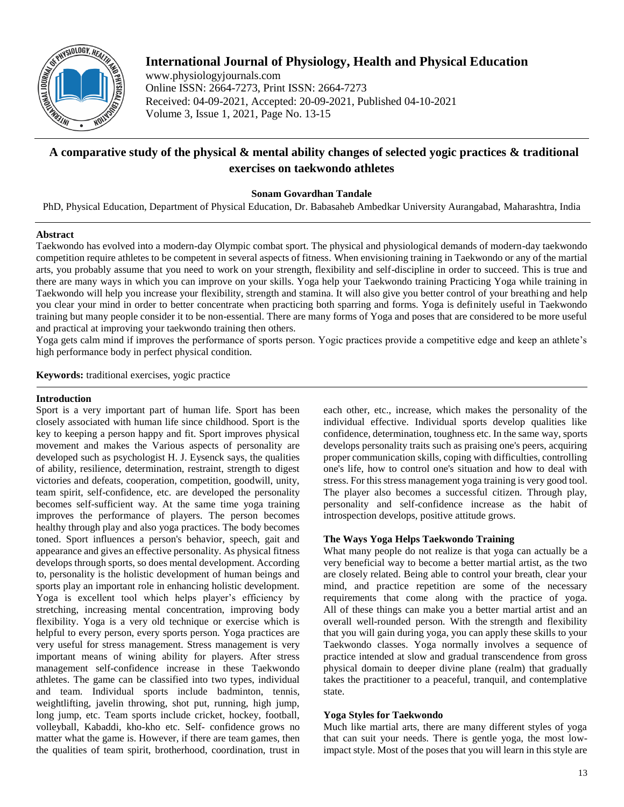

# **International Journal of Physiology, Health and Physical Education**

www.physiologyjournals.com Online ISSN: 2664-7273, Print ISSN: 2664-7273 Received: 04-09-2021, Accepted: 20-09-2021, Published 04-10-2021 Volume 3, Issue 1, 2021, Page No. 13-15

# **A comparative study of the physical & mental ability changes of selected yogic practices & traditional exercises on taekwondo athletes**

**Sonam Govardhan Tandale**

PhD, Physical Education, Department of Physical Education, Dr. Babasaheb Ambedkar University Aurangabad, Maharashtra, India

## **Abstract**

Taekwondo has evolved into a modern-day Olympic combat sport. The physical and physiological demands of modern-day taekwondo competition require athletes to be competent in several aspects of fitness. When envisioning training in Taekwondo or any of the martial arts, you probably assume that you need to work on your strength, flexibility and self-discipline in order to succeed. This is true and there are many ways in which you can improve on your skills. Yoga help your Taekwondo training Practicing Yoga while training in Taekwondo will help you increase your flexibility, strength and stamina. It will also give you better control of your breathing and help you clear your mind in order to better concentrate when practicing both sparring and forms. Yoga is definitely useful in Taekwondo training but many people consider it to be non-essential. There are many forms of Yoga and poses that are considered to be more useful and practical at improving your taekwondo training then others.

Yoga gets calm mind if improves the performance of sports person. Yogic practices provide a competitive edge and keep an athlete's high performance body in perfect physical condition.

**Keywords:** traditional exercises, yogic practice

## **Introduction**

Sport is a very important part of human life. Sport has been closely associated with human life since childhood. Sport is the key to keeping a person happy and fit. Sport improves physical movement and makes the Various aspects of personality are developed such as psychologist H. J. Eysenck says, the qualities of ability, resilience, determination, restraint, strength to digest victories and defeats, cooperation, competition, goodwill, unity, team spirit, self-confidence, etc. are developed the personality becomes self-sufficient way. At the same time yoga training improves the performance of players. The person becomes healthy through play and also yoga practices. The body becomes toned. Sport influences a person's behavior, speech, gait and appearance and gives an effective personality. As physical fitness develops through sports, so does mental development. According to, personality is the holistic development of human beings and sports play an important role in enhancing holistic development. Yoga is excellent tool which helps player's efficiency by stretching, increasing mental concentration, improving body flexibility. Yoga is a very old technique or exercise which is helpful to every person, every sports person. Yoga practices are very useful for stress management. Stress management is very important means of wining ability for players. After stress management self-confidence increase in these Taekwondo athletes. The game can be classified into two types, individual and team. Individual sports include badminton, tennis, weightlifting, javelin throwing, shot put, running, high jump, long jump, etc. Team sports include cricket, hockey, football, volleyball, Kabaddi, kho-kho etc. Self- confidence grows no matter what the game is. However, if there are team games, then the qualities of team spirit, brotherhood, coordination, trust in

each other, etc., increase, which makes the personality of the individual effective. Individual sports develop qualities like confidence, determination, toughness etc. In the same way, sports develops personality traits such as praising one's peers, acquiring proper communication skills, coping with difficulties, controlling one's life, how to control one's situation and how to deal with stress. For this stress management yoga training is very good tool. The player also becomes a successful citizen. Through play, personality and self-confidence increase as the habit of introspection develops, positive attitude grows.

# **The Ways Yoga Helps Taekwondo Training**

What many people do not realize is that yoga can actually be a very beneficial way to become a better martial artist, as the two are closely related. Being able to control your breath, clear your mind, and practice repetition are some of the necessary requirements that come along with the practice of yoga. All of these things can make you a better martial artist and an overall well-rounded person. With the strength and flexibility that you will gain during yoga, you can apply these skills to your Taekwondo classes. Yoga normally involves a sequence of practice intended at slow and gradual transcendence from gross physical domain to deeper divine plane (realm) that gradually takes the practitioner to a peaceful, tranquil, and contemplative state.

# **Yoga Styles for Taekwondo**

Much like martial arts, there are many different styles of yoga that can suit your needs. There is gentle yoga, the most lowimpact style. Most of the poses that you will learn in this style are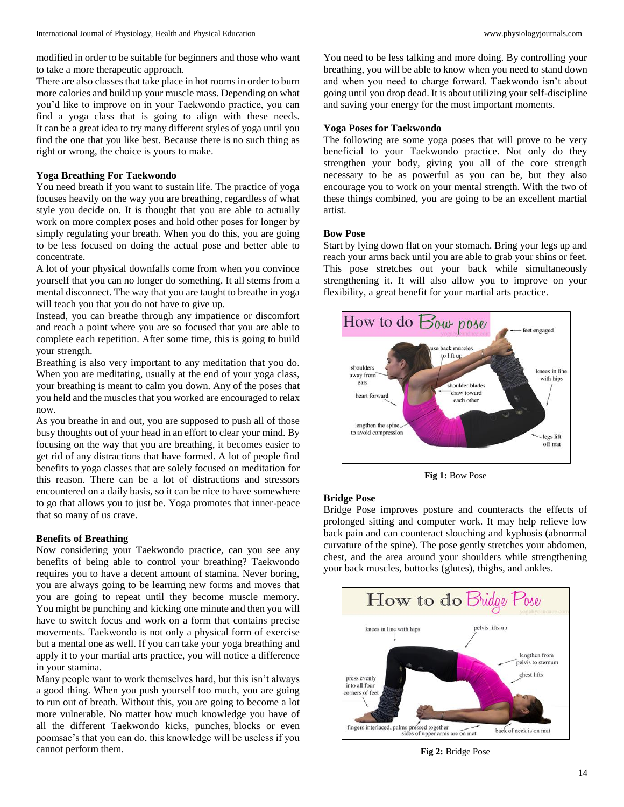modified in order to be suitable for beginners and those who want to take a more therapeutic approach.

There are also classes that take place in hot rooms in order to burn more calories and build up your muscle mass. Depending on what you'd like to improve on in your Taekwondo practice, you can find a yoga class that is going to align with these needs. It can be a great idea to try many different styles of yoga until you find the one that you like best. Because there is no such thing as right or wrong, the choice is yours to make.

## **Yoga Breathing For Taekwondo**

You need breath if you want to sustain life. The practice of yoga focuses heavily on the way you are breathing, regardless of what style you decide on. It is thought that you are able to actually work on more complex poses and hold other poses for longer by simply regulating your breath. When you do this, you are going to be less focused on doing the actual pose and better able to concentrate.

A lot of your physical downfalls come from when you convince yourself that you can no longer do something. It all stems from a mental disconnect. The way that you are taught to breathe in yoga will teach you that you do not have to give up.

Instead, you can breathe through any impatience or discomfort and reach a point where you are so focused that you are able to complete each repetition. After some time, this is going to build your strength.

Breathing is also very important to any meditation that you do. When you are meditating, usually at the end of your yoga class, your breathing is meant to calm you down. Any of the poses that you held and the muscles that you worked are encouraged to relax now.

As you breathe in and out, you are supposed to push all of those busy thoughts out of your head in an effort to clear your mind. By focusing on the way that you are breathing, it becomes easier to get rid of any distractions that have formed. A lot of people find benefits to yoga classes that are solely focused on meditation for this reason. There can be a lot of distractions and stressors encountered on a daily basis, so it can be nice to have somewhere to go that allows you to just be. Yoga promotes that inner-peace that so many of us crave.

#### **Benefits of Breathing**

Now considering your Taekwondo practice, can you see any benefits of being able to control your breathing? Taekwondo requires you to have a decent amount of stamina. Never boring, you are always going to be learning new forms and moves that you are going to repeat until they become muscle memory. You might be punching and kicking one minute and then you will have to switch focus and work on a form that contains precise movements. Taekwondo is not only a physical form of exercise but a mental one as well. If you can take your yoga breathing and apply it to your martial arts practice, you will notice a difference in your stamina.

Many people want to work themselves hard, but this isn't always a good thing. When you push yourself too much, you are going to run out of breath. Without this, you are going to become a lot more vulnerable. No matter how much knowledge you have of all the different Taekwondo kicks, punches, blocks or even poomsae's that you can do, this knowledge will be useless if you cannot perform them.

You need to be less talking and more doing. By controlling your breathing, you will be able to know when you need to stand down and when you need to charge forward. Taekwondo isn't about going until you drop dead. It is about utilizing your self-discipline and saving your energy for the most important moments.

#### **Yoga Poses for Taekwondo**

The following are some yoga poses that will prove to be very beneficial to your Taekwondo practice. Not only do they strengthen your body, giving you all of the core strength necessary to be as powerful as you can be, but they also encourage you to work on your mental strength. With the two of these things combined, you are going to be an excellent martial artist.

#### **Bow Pose**

Start by lying down flat on your stomach. Bring your legs up and reach your arms back until you are able to grab your shins or feet. This pose stretches out your back while simultaneously strengthening it. It will also allow you to improve on your flexibility, a great benefit for your martial arts practice.



**Fig 1:** Bow Pose

### **Bridge Pose**

Bridge Pose improves posture and counteracts the effects of prolonged sitting and computer work. It may help relieve low back pain and can counteract slouching and kyphosis (abnormal curvature of the spine). The pose gently stretches your abdomen, chest, and the area around your shoulders while strengthening your back muscles, buttocks (glutes), thighs, and ankles.



**Fig 2:** Bridge Pose